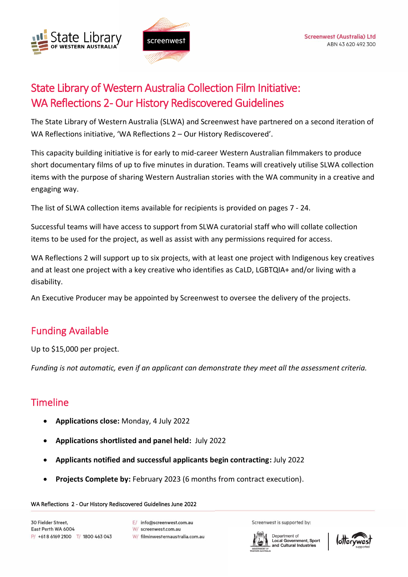



# State Library of Western Australia Collection Film Initiative: WA Reflections 2- Our History Rediscovered Guidelines

The State Library of Western Australia (SLWA) and Screenwest have partnered on a second iteration of WA Reflections initiative, 'WA Reflections 2 – Our History Rediscovered'.

This capacity building initiative is for early to mid-career Western Australian filmmakers to produce short documentary films of up to five minutes in duration. Teams will creatively utilise SLWA collection items with the purpose of sharing Western Australian stories with the WA community in a creative and engaging way.

The list of SLWA collection items available for recipients is provided on pages 7 - 24.

Successful teams will have access to support from SLWA curatorial staff who will collate collection items to be used for the project, as well as assist with any permissions required for access.

WA Reflections 2 will support up to six projects, with at least one project with Indigenous key creatives and at least one project with a key creative who identifies as CaLD, LGBTQIA+ and/or living with a disability.

An Executive Producer may be appointed by Screenwest to oversee the delivery of the projects.

# Funding Available

Up to \$15,000 per project.

*Funding is not automatic, even if an applicant can demonstrate they meet all the assessment criteria.*

# Timeline

- **Applications close:** Monday, 4 July 2022
- **Applications shortlisted and panel held:** July 2022
- **Applicants notified and successful applicants begin contracting:** July 2022
- **Projects Complete by:** February 2023 (6 months from contract execution).

#### WA Reflections 2 - Our History Rediscovered Guidelines June 2022

30 Fielder Street. East Perth WA 6004 P/ +618 6169 2100 T/ 1800 463 043

- E/ info@screenwest.com.au
- W/ screenwest.com.au
- W/ filminwesternaustralia.com.au

Screenwest is supported by:



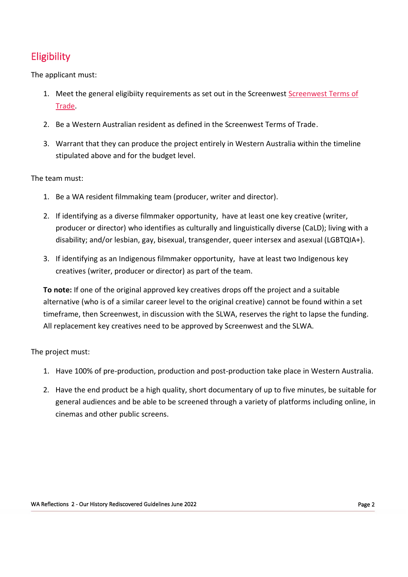# **Eligibility**

The applicant must:

- 1. Meet the general eligibiity requirements as set out in the Screenwest Screenwest Terms of [Trade.](https://www.screenwest.com.au/about/publications/)
- 2. Be a Western Australian resident as defined in the Screenwest Terms of Trade.
- 3. Warrant that they can produce the project entirely in Western Australia within the timeline stipulated above and for the budget level.

The team must:

- 1. Be a WA resident filmmaking team (producer, writer and director).
- 2. If identifying as a diverse filmmaker opportunity, have at least one key creative (writer, producer or director) who identifies as culturally and linguistically diverse (CaLD); living with a disability; and/or lesbian, gay, bisexual, transgender, queer intersex and asexual (LGBTQIA+).
- 3. If identifying as an Indigenous filmmaker opportunity, have at least two Indigenous key creatives (writer, producer or director) as part of the team.

**To note:** If one of the original approved key creatives drops off the project and a suitable alternative (who is of a similar career level to the original creative) cannot be found within a set timeframe, then Screenwest, in discussion with the SLWA, reserves the right to lapse the funding. All replacement key creatives need to be approved by Screenwest and the SLWA.

The project must:

- 1. Have 100% of pre-production, production and post-production take place in Western Australia.
- 2. Have the end product be a high quality, short documentary of up to five minutes, be suitable for general audiences and be able to be screened through a variety of platforms including online, in cinemas and other public screens.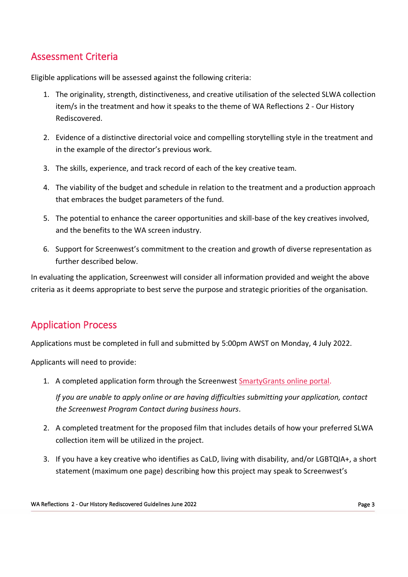# Assessment Criteria

Eligible applications will be assessed against the following criteria:

- 1. The originality, strength, distinctiveness, and creative utilisation of the selected SLWA collection item/s in the treatment and how it speaks to the theme of WA Reflections 2 - Our History Rediscovered.
- 2. Evidence of a distinctive directorial voice and compelling storytelling style in the treatment and in the example of the director's previous work.
- 3. The skills, experience, and track record of each of the key creative team.
- 4. The viability of the budget and schedule in relation to the treatment and a production approach that embraces the budget parameters of the fund.
- 5. The potential to enhance the career opportunities and skill-base of the key creatives involved, and the benefits to the WA screen industry.
- 6. Support for Screenwest's commitment to the creation and growth of diverse representation as further described below.

In evaluating the application, Screenwest will consider all information provided and weight the above criteria as it deems appropriate to best serve the purpose and strategic priorities of the organisation.

# Application Process

Applications must be completed in full and submitted by 5:00pm AWST on Monday, 4 July 2022.

Applicants will need to provide:

1. A completed application form through the Screenwest [SmartyGrants](https://screenwest.smartygrants.com.au/) online portal.

*If you are unable to apply online or are having difficulties submitting your application, contact the Screenwest Program Contact during business hours.*

- 2. A completed treatment for the proposed film that includes details of how your preferred SLWA collection item will be utilized in the project.
- 3. If you have a key creative who identifies as CaLD, living with disability, and/or LGBTQIA+, a short statement (maximum one page) describing how this project may speak to Screenwest's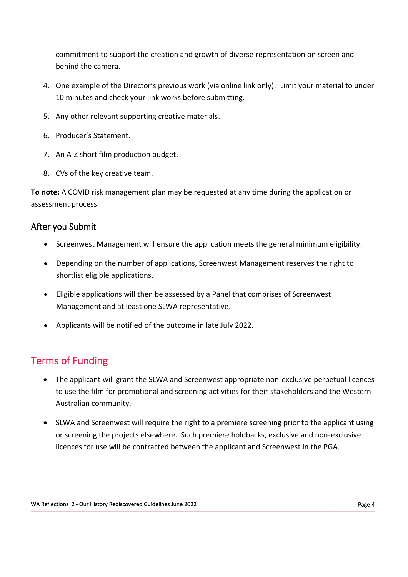commitment to support the creation and growth of diverse representation on screen and behind the camera.

- 4. One example of the Director's previous work (via online link only). Limit your material to under 10 minutes and check your link works before submitting.
- 5. Any other relevant supporting creative materials.
- 6. Producer's Statement.
- 7. An A-Z short film production budget.
- 8. CVs of the key creative team.

**To note:** A COVID risk management plan may be requested at any time during the application or assessment process.

### After you Submit

- Screenwest Management will ensure the application meets the general minimum eligibility.
- Depending on the number of applications, Screenwest Management reserves the right to shortlist eligible applications.
- Eligible applications will then be assessed by a Panel that comprises of Screenwest Management and at least one SLWA representative.
- Applicants will be notified of the outcome in late July 2022.

# Terms of Funding

- The applicant will grant the SLWA and Screenwest appropriate non-exclusive perpetual licences to use the film for promotional and screening activities for their stakeholders and the Western Australian community.
- SLWA and Screenwest will require the right to a premiere screening prior to the applicant using or screening the projects elsewhere. Such premiere holdbacks, exclusive and non-exclusive licences for use will be contracted between the applicant and Screenwest in the PGA.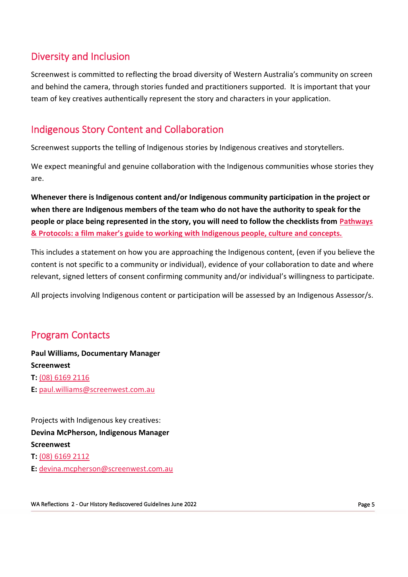# Diversity and Inclusion

Screenwest is committed to reflecting the broad diversity of Western Australia's community on screen and behind the camera, through stories funded and practitioners supported. It is important that your team of key creatives authentically represent the story and characters in your application.

# Indigenous Story Content and Collaboration

Screenwest supports the telling of Indigenous stories by Indigenous creatives and storytellers.

We expect meaningful and genuine collaboration with the Indigenous communities whose stories they are.

**Whenever there is Indigenous content and/or Indigenous community participation in the project or when there are Indigenous members of the team who do not have the authority to speak for the people or place being represented in the story, you will need to follow the checklists from [Pathways](https://www.screenaustralia.gov.au/about-us/doing-business-with-us/indigenous-content/indigenous-protocols)  [& Protocols: a film maker's guide to working with Indigenous people, culture and concepts.](https://www.screenaustralia.gov.au/about-us/doing-business-with-us/indigenous-content/indigenous-protocols)**

This includes a statement on how you are approaching the Indigenous content, (even if you believe the content is not specific to a community or individual), evidence of your collaboration to date and where relevant, signed letters of consent confirming community and/or individual's willingness to participate.

All projects involving Indigenous content or participation will be assessed by an Indigenous Assessor/s.

# Program Contacts

**Paul Williams, Documentary Manager Screenwest T:** [\(08\) 6169 2116](tel:+61861692116) **E:** [paul.williams@screenwest.com.au](mailto:paul.williams@screenwest.com.au)

Projects with Indigenous key creatives: **Devina McPherson, Indigenous Manager Screenwest T:** [\(08\) 6169 2112](tel:+61861692112)

**E:** [devina.mcpherson@screenwest.com.au](mailto:devina.mcpherson@screenwest.com.au)

WA Reflections 2 - Our History Rediscovered Guidelines June 2022 **Page 5** Page 5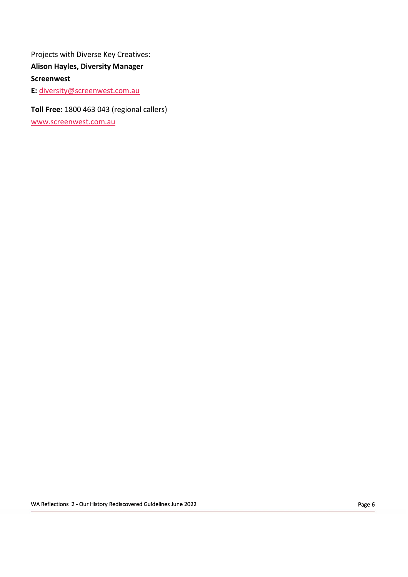Projects with Diverse Key Creatives: **Alison Hayles, Diversity Manager Screenwest E:** [diversity@screenwest.com.au](mailto:diversity@screenwest.com.au)

**Toll Free:** 1800 463 043 (regional callers)

[www.screenwest.com.au](http://www.screenwest.com.au/)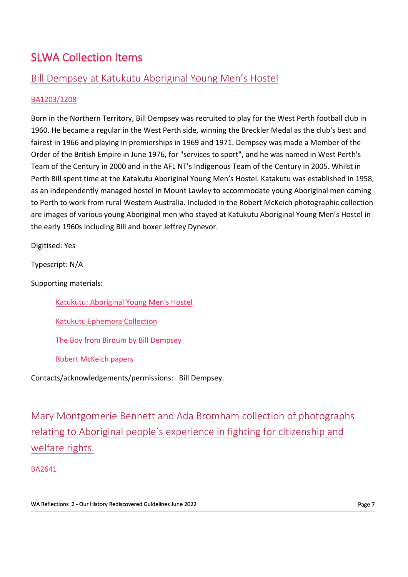# SLWA Collection Items

# Bill Dempsey at Katukutu Aboriginal Young Men's Hostel

### [BA1203/1208](http://purl.slwa.wa.gov.au/slwa_b2608572_1)

Born in the Northern Territory, Bill Dempsey was recruited to play for the West Perth football club in 1960. He became a regular in the West Perth side, winning the Breckler Medal as the club's best and fairest in 1966 and playing in premierships in 1969 and 1971. Dempsey was made a Member of the Order of the British Empire in June 1976, for "services to sport", and he was named in West Perth's Team of the Century in 2000 and in the AFL NT's Indigenous Team of the Century in 2005. Whilst in Perth Bill spent time at the Katakutu Aboriginal Young Men's Hostel. Katakutu was established in 1958, as an independently managed hostel in Mount Lawley to accommodate young Aboriginal men coming to Perth to work from rural Western Australia. Included in the Robert McKeich photographic collection are images of various young Aboriginal men who stayed at Katukutu Aboriginal Young Men's Hostel in the early 1960s including Bill and boxer Jeffrey Dynevor.

Digitised: Yes

Typescript: N/A

Supporting materials:

[Katukutu: Aboriginal Young Men's Hostel](https://encore.slwa.wa.gov.au/iii/encore/record/C__Rb1809799)

[Katukutu Ephemera Collection](https://encore.slwa.wa.gov.au/iii/encore/record/C__Rb1874746)

[The Boy from Birdum by Bill Dempsey](https://www.magabala.com/products/the-boy-from-birdum)

[Robert McKeich papers](https://encore.slwa.wa.gov.au/iii/encore/record/C__Rb1993894)

Contacts/acknowledgements/permissions: Bill Dempsey.

Mary Montgomerie Bennett and Ada Bromham collection of photographs relating to Aboriginal people's experience in fighting for citizenship and welfare rights.

[BA2641](https://encore.slwa.wa.gov.au/iii/encore/record/C__Rb4089774)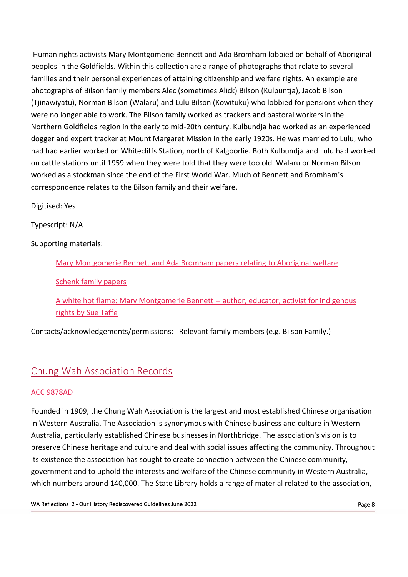Human rights activists Mary Montgomerie Bennett and Ada Bromham lobbied on behalf of Aboriginal peoples in the Goldfields. Within this collection are a range of photographs that relate to several families and their personal experiences of attaining citizenship and welfare rights. An example are photographs of Bilson family members Alec (sometimes Alick) Bilson (Kulpuntja), Jacob Bilson (Tjinawiyatu), Norman Bilson (Walaru) and Lulu Bilson (Kowituku) who lobbied for pensions when they were no longer able to work. The Bilson family worked as trackers and pastoral workers in the Northern Goldfields region in the early to mid-20th century. Kulbundja had worked as an experienced dogger and expert tracker at Mount Margaret Mission in the early 1920s. He was married to Lulu, who had had earlier worked on Whitecliffs Station, north of Kalgoorlie. Both Kulbundja and Lulu had worked on cattle stations until 1959 when they were told that they were too old. Walaru or Norman Bilson worked as a stockman since the end of the First World War. Much of Bennett and Bromham's correspondence relates to the Bilson family and their welfare.

Digitised: Yes

Typescript: N/A

Supporting materials:

[Mary Montgomerie Bennett and Ada Bromham papers relating to Aboriginal welfare](https://encore.slwa.wa.gov.au/iii/encore/record/C__Rb3298247)

[Schenk family papers](https://encore.slwa.wa.gov.au/iii/encore/record/C__Rb2046934)

[A white hot flame: Mary Montgomerie Bennett --](https://encore.slwa.wa.gov.au/iii/encore/record/C__Rb5282930) author, educator, activist for indigenous [rights by Sue Taffe](https://encore.slwa.wa.gov.au/iii/encore/record/C__Rb5282930)

Contacts/acknowledgements/permissions: Relevant family members (e.g. Bilson Family.)

# Chung Wah Association Records

### [ACC 9878AD](https://encore.slwa.wa.gov.au/iii/encore/record/C__Rb5788231)

Founded in 1909, the Chung Wah Association is the largest and most established Chinese organisation in Western Australia. The Association is synonymous with Chinese business and culture in Western Australia, particularly established Chinese businesses in Northbridge. The association's vision is to preserve Chinese heritage and culture and deal with social issues affecting the community. Throughout its existence the association has sought to create connection between the Chinese community, government and to uphold the interests and welfare of the Chinese community in Western Australia, which numbers around 140,000. The State Library holds a range of material related to the association,

WA Reflections 2 - Our History Rediscovered Guidelines June 2022 **Page 8** Page 8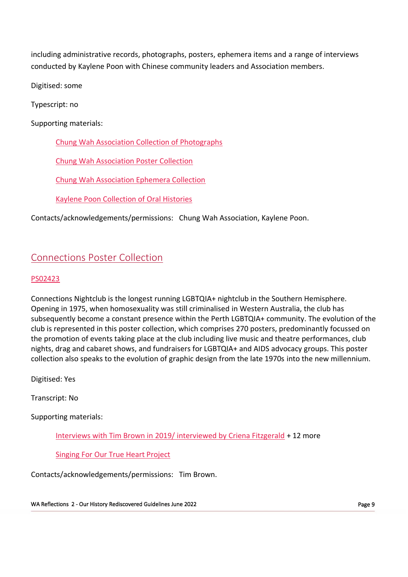including administrative records, photographs, posters, ephemera items and a range of interviews conducted by Kaylene Poon with Chinese community leaders and Association members.

Digitised: some

Typescript: no

Supporting materials:

[Chung Wah Association Collection of Photographs](https://encore.slwa.wa.gov.au/iii/encore/record/C__Rb2187228)

[Chung Wah Association Poster Collection](https://encore.slwa.wa.gov.au/iii/encore/record/C__Rb2739600)

[Chung Wah Association Ephemera Collection](https://slwa.wa.gov.au/pdf/ephemera/pr13861.pdf)

[Kaylene Poon Collection of Oral Histories](https://encore.slwa.wa.gov.au/iii/encore/search/C__SKaylene%20Poon%20Collection__Orightresult?lang=eng&suite=def)

Contacts/acknowledgements/permissions: Chung Wah Association, Kaylene Poon.

# Connections Poster Collection

### [PS02423](https://encore.slwa.wa.gov.au/iii/encore/record/C__Rb6094188)

Connections Nightclub is the longest running LGBTQIA+ nightclub in the Southern Hemisphere. Opening in 1975, when homosexuality was still criminalised in Western Australia, the club has subsequently become a constant presence within the Perth LGBTQIA+ community. The evolution of the club is represented in this poster collection, which comprises 270 posters, predominantly focussed on the promotion of events taking place at the club including live music and theatre performances, club nights, drag and cabaret shows, and fundraisers for LGBTQIA+ and AIDS advocacy groups. This poster collection also speaks to the evolution of graphic design from the late 1970s into the new millennium.

Digitised: Yes

Transcript: No

Supporting materials:

[Interviews with Tim Brown in 2019/ interviewed by Criena Fitzgerald](https://encore.slwa.wa.gov.au/iii/encore/record/C__Rb6031097) + 12 more

[Singing For Our True Heart Project](https://encore.slwa.wa.gov.au/iii/encore/search/C__SSinging%20for%20our%20true%20heart%20project__Orightresult?lang=eng&suite=def)

Contacts/acknowledgements/permissions: Tim Brown.

WA Reflections 2 - Our History Rediscovered Guidelines June 2022 Page 9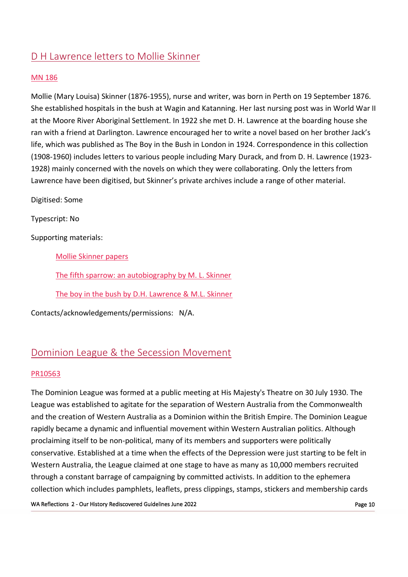# D H Lawrence letters to Mollie Skinner

### [MN 186](https://encore.slwa.wa.gov.au/iii/encore/record/C__Rb1688160)

Mollie (Mary Louisa) Skinner (1876-1955), nurse and writer, was born in Perth on 19 September 1876. She established hospitals in the bush at Wagin and Katanning. Her last nursing post was in World War II at the Moore River Aboriginal Settlement. In 1922 she met D. H. Lawrence at the boarding house she ran with a friend at Darlington. Lawrence encouraged her to write a novel based on her brother Jack's life, which was published as The Boy in the Bush in London in 1924. Correspondence in this collection (1908-1960) includes letters to various people including Mary Durack, and from D. H. Lawrence (1923- 1928) mainly concerned with the novels on which they were collaborating. Only the letters from Lawrence have been digitised, but Skinner's private archives include a range of other material.

Digitised: Some

Typescript: No

Supporting materials:

[Mollie Skinner papers](https://encore.slwa.wa.gov.au/iii/encore/record/C__Rb1688160)

[The fifth sparrow: an autobiography by M. L. Skinner](https://encore.slwa.wa.gov.au/iii/encore/record/C__Rb1184292)

[The boy in the bush by D.H. Lawrence & M.L. Skinner](https://encore.slwa.wa.gov.au/iii/encore/record/C__Rb1029430)

Contacts/acknowledgements/permissions: N/A.

### Dominion League & the Secession Movement

#### [PR10563](https://slwa.wa.gov.au/pdf/ephemera/pr10563.pdf)

The Dominion League was formed at a public meeting at His Majesty's Theatre on 30 July 1930. The League was established to agitate for the separation of Western Australia from the Commonwealth and the creation of Western Australia as a Dominion within the British Empire. The Dominion League rapidly became a dynamic and influential movement within Western Australian politics. Although proclaiming itself to be non-political, many of its members and supporters were politically conservative. Established at a time when the effects of the Depression were just starting to be felt in Western Australia, the League claimed at one stage to have as many as 10,000 members recruited through a constant barrage of campaigning by committed activists. In addition to the ephemera collection which includes pamphlets, leaflets, press clippings, stamps, stickers and membership cards

WA Reflections 2 - Our History Rediscovered Guidelines June 2022 **Page 10** Page 10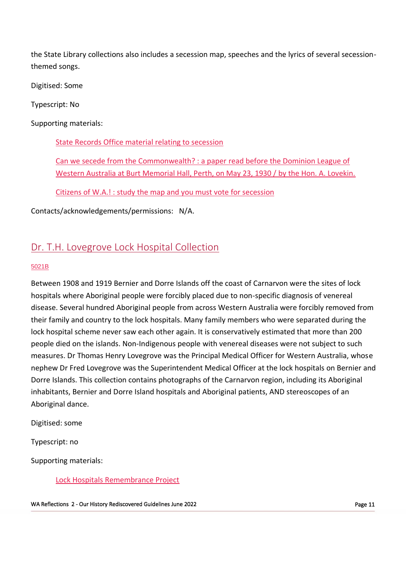the State Library collections also includes a secession map, speeches and the lyrics of several secessionthemed songs.

Digitised: Some

Typescript: No

Supporting materials:

[State Records Office material relating to secession](https://archive.sro.wa.gov.au/index.php/informationobject/browse?topLod=0&query=secession*)

[Can we secede from the Commonwealth? : a paper read before the Dominion League of](https://encore.slwa.wa.gov.au/iii/encore/record/C__Rb1556762)  [Western Australia at Burt Memorial Hall, Perth, on May 23, 1930 / by the Hon. A. Lovekin.](https://encore.slwa.wa.gov.au/iii/encore/record/C__Rb1556762)

[Citizens of W.A.! : study the map and you must vote for secession](https://encore.slwa.wa.gov.au/iii/encore/record/C__Rb2100670)

Contacts/acknowledgements/permissions: N/A.

## Dr. T.H. Lovegrove Lock Hospital Collection

#### [5021B](https://encore.slwa.wa.gov.au/iii/encore/record/C__Rb2217466)

Between 1908 and 1919 Bernier and Dorre Islands off the coast of Carnarvon were the sites of lock hospitals where Aboriginal people were forcibly placed due to non-specific diagnosis of venereal disease. Several hundred Aboriginal people from across Western Australia were forcibly removed from their family and country to the lock hospitals. Many family members who were separated during the lock hospital scheme never saw each other again. It is conservatively estimated that more than 200 people died on the islands. Non-Indigenous people with venereal diseases were not subject to such measures. Dr Thomas Henry Lovegrove was the Principal Medical Officer for Western Australia, whose nephew Dr Fred Lovegrove was the Superintendent Medical Officer at the lock hospitals on Bernier and Dorre Islands. This collection contains photographs of the Carnarvon region, including its Aboriginal inhabitants, Bernier and Dorre Island hospitals and Aboriginal patients, AND stereoscopes of an Aboriginal dance.

Digitised: some

Typescript: no

Supporting materials:

[Lock Hospitals Remembrance Project](https://www.lockhospital.com.au/)

WA Reflections 2 - Our History Rediscovered Guidelines June 2022 **Page 11** Allen Burge 11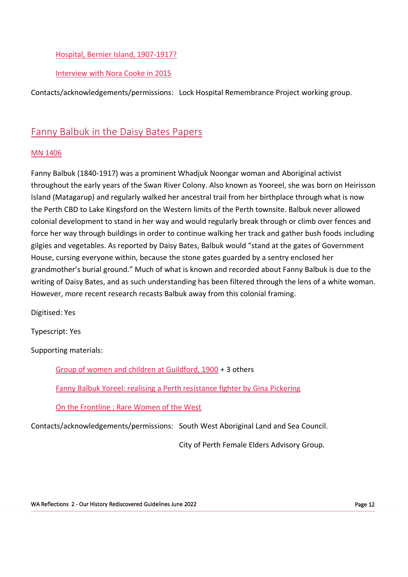### [Hospital, Bernier Island, 1907-1917?](https://encore.slwa.wa.gov.au/iii/encore/record/C__Rb2356685)

#### [Interview with Nora Cooke in 2015](https://encore.slwa.wa.gov.au/iii/encore/record/C__Rb4713027)

Contacts/acknowledgements/permissions: Lock Hospital Remembrance Project working group.

### Fanny Balbuk in the Daisy Bates Papers

#### [MN 1406](https://encore.slwa.wa.gov.au/iii/encore/record/C__Rb1761203)

Fanny Balbuk (1840-1917) was a prominent Whadjuk Noongar woman and Aboriginal activist throughout the early years of the Swan River Colony. Also known as Yooreel, she was born on Heirisson Island (Matagarup) and regularly walked her ancestral trail from her birthplace through what is now the Perth CBD to Lake Kingsford on the Western limits of the Perth townsite. Balbuk never allowed colonial development to stand in her way and would regularly break through or climb over fences and force her way through buildings in order to continue walking her track and gather bush foods including gilgies and vegetables. As reported by Daisy Bates, Balbuk would "stand at the gates of Government House, cursing everyone within, because the stone gates guarded by a sentry enclosed her grandmother's burial ground." Much of what is known and recorded about Fanny Balbuk is due to the writing of Daisy Bates, and as such understanding has been filtered through the lens of a white woman. However, more recent research recasts Balbuk away from this colonial framing.

Digitised: Yes

Typescript: Yes

Supporting materials:

[Group of women and children at Guildford, 1900](http://purl.slwa.wa.gov.au/slwa_b2458820_2) + 3 others

[Fanny Balbuk Yoreel: realising a Perth resistance fighter by Gina Pickering](https://encore.slwa.wa.gov.au/iii/encore/record/C__Rb5125817)

[On the Frontline : Rare Women of the West](https://encore.slwa.wa.gov.au/iii/encore/record/C__Rb6695032)

Contacts/acknowledgements/permissions: South West Aboriginal Land and Sea Council.

City of Perth Female Elders Advisory Group.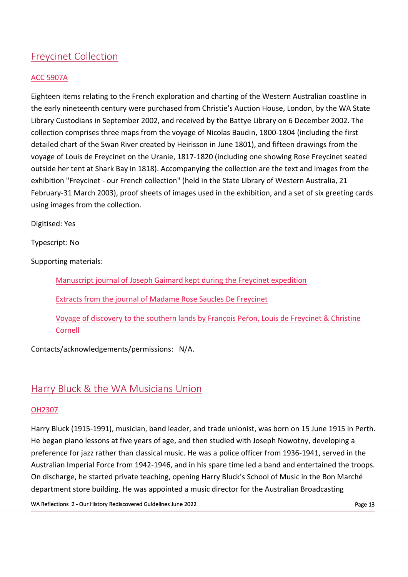# Freycinet Collection

### [ACC 5907A](https://encore.slwa.wa.gov.au/iii/encore/record/C__Rb2112066)

Eighteen items relating to the French exploration and charting of the Western Australian coastline in the early nineteenth century were purchased from Christie's Auction House, London, by the WA State Library Custodians in September 2002, and received by the Battye Library on 6 December 2002. The collection comprises three maps from the voyage of Nicolas Baudin, 1800-1804 (including the first detailed chart of the Swan River created by Heirisson in June 1801), and fifteen drawings from the voyage of Louis de Freycinet on the Uranie, 1817-1820 (including one showing Rose Freycinet seated outside her tent at Shark Bay in 1818). Accompanying the collection are the text and images from the exhibition "Freycinet - our French collection" (held in the State Library of Western Australia, 21 February-31 March 2003), proof sheets of images used in the exhibition, and a set of six greeting cards using images from the collection.

Digitised: Yes

Typescript: No

Supporting materials:

[Manuscript journal of Joseph Gaimard kept during the Freycinet expedition](https://encore.slwa.wa.gov.au/iii/encore/record/C__Rb1467191)

[Extracts from the journal of Madame Rose Saucles De Freycinet](https://encore.slwa.wa.gov.au/iii/encore/record/C__Rb1285663)

[Voyage of discovery to the southern lands by Fran](https://encore.slwa.wa.gov.au/iii/encore/record/C__Rb2511217)çois Peŕon, Louis de Freycinet & Christine [Cornell](https://encore.slwa.wa.gov.au/iii/encore/record/C__Rb2511217)

Contacts/acknowledgements/permissions: N/A.

# Harry Bluck & the WA Musicians Union

### [OH2307](https://encore.slwa.wa.gov.au/iii/encore/record/C__Rb1795518)

Harry Bluck (1915-1991), musician, band leader, and trade unionist, was born on 15 June 1915 in Perth. He began piano lessons at five years of age, and then studied with Joseph Nowotny, developing a preference for jazz rather than classical music. He was a police officer from 1936-1941, served in the Australian Imperial Force from 1942-1946, and in his spare time led a band and entertained the troops. On discharge, he started private teaching, opening Harry Bluck's School of Music in the Bon Marché department store building. He was appointed a music director for the Australian Broadcasting

WA Reflections 2 - Our History Rediscovered Guidelines June 2022 **Page 13** Page 13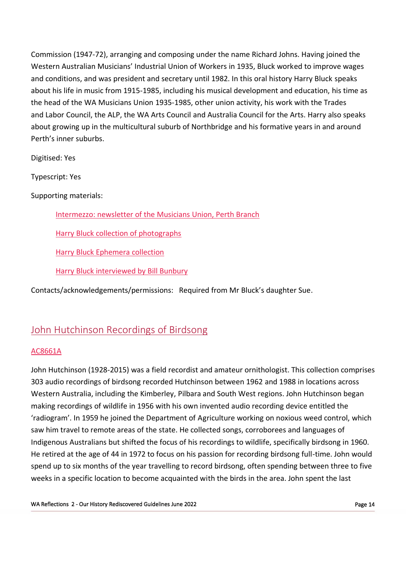Commission (1947-72), arranging and composing under the name Richard Johns. Having joined the Western Australian Musicians' Industrial Union of Workers in 1935, Bluck worked to improve wages and conditions, and was president and secretary until 1982. In this oral history Harry Bluck speaks about his life in music from 1915-1985, including his musical development and education, his time as the head of the WA Musicians Union 1935-1985, other union activity, his work with the Trades and Labor Council, the ALP, the WA Arts Council and Australia Council for the Arts. Harry also speaks about growing up in the multicultural suburb of Northbridge and his formative years in and around Perth's inner suburbs.

Digitised: Yes

Typescript: Yes

### Supporting materials:

[Intermezzo: newsletter of the Musicians Union, Perth Branch](https://encore.slwa.wa.gov.au/iii/encore/record/C__Rb1583097)

[Harry Bluck collection of photographs](https://encore.slwa.wa.gov.au/iii/encore/record/C__Rb4313794)

[Harry Bluck Ephemera collection](https://encore.slwa.wa.gov.au/iii/encore/record/C__Rb2392727)

[Harry Bluck interviewed by Bill Bunbury](https://encore.slwa.wa.gov.au/iii/encore/record/C__Rb1795512)

Contacts/acknowledgements/permissions: Required from Mr Bluck's daughter Sue.

### John Hutchinson Recordings of Birdsong

#### [AC8661A](https://catalogue.slwa.wa.gov.au/record=b3608955)

John Hutchinson (1928-2015) was a field recordist and amateur ornithologist. This collection comprises 303 audio recordings of birdsong recorded Hutchinson between 1962 and 1988 in locations across Western Australia, including the Kimberley, Pilbara and South West regions. John Hutchinson began making recordings of wildlife in 1956 with his own invented audio recording device entitled the 'radiogram'. In 1959 he joined the Department of Agriculture working on noxious weed control, which saw him travel to remote areas of the state. He collected songs, corroborees and languages of Indigenous Australians but shifted the focus of his recordings to wildlife, specifically birdsong in 1960. He retired at the age of 44 in 1972 to focus on his passion for recording birdsong full-time. John would spend up to six months of the year travelling to record birdsong, often spending between three to five weeks in a specific location to become acquainted with the birds in the area. John spent the last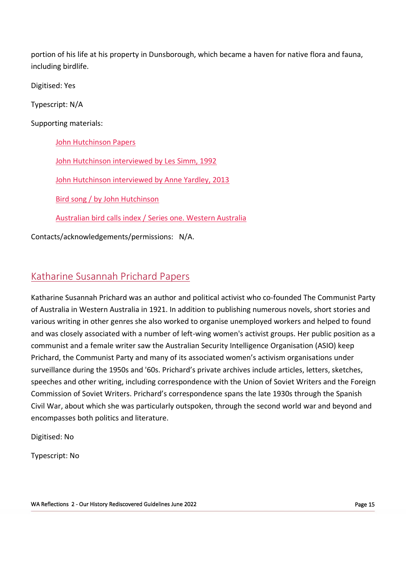portion of his life at his property in Dunsborough, which became a haven for native flora and fauna, including birdlife.

Digitised: Yes

Typescript: N/A

Supporting materials:

[John Hutchinson Papers](https://encore.slwa.wa.gov.au/iii/encore/record/C__Rb2210895)

[John Hutchinson interviewed by Les Simm, 1992](https://encore.slwa.wa.gov.au/iii/encore/record/C__Rb1867163)

[John Hutchinson interviewed by Anne Yardley, 2013](https://encore.slwa.wa.gov.au/iii/encore/record/C__Rb4222632)

[Bird song / by John Hutchinson](https://encore.slwa.wa.gov.au/iii/encore/record/C__Rb3926880)

[Australian bird calls index / Series one. Western Australia](https://encore.slwa.wa.gov.au/iii/encore/record/C__Rb1296560)

Contacts/acknowledgements/permissions: N/A.

# Katharine Susannah Prichard Papers

Katharine Susannah Prichard was an author and political activist who co-founded The Communist Party of Australia in Western Australia in 1921. In addition to publishing numerous novels, short stories and various writing in other genres she also worked to organise unemployed workers and helped to found and was closely associated with a number of left-wing women's activist groups. Her public position as a communist and a female writer saw the Australian Security Intelligence Organisation (ASIO) keep Prichard, the Communist Party and many of its associated women's activism organisations under surveillance during the 1950s and '60s. Prichard's private archives include articles, letters, sketches, speeches and other writing, including correspondence with the Union of Soviet Writers and the Foreign Commission of Soviet Writers. Prichard's correspondence spans the late 1930s through the Spanish Civil War, about which she was particularly outspoken, through the second world war and beyond and encompasses both politics and literature.

Digitised: No

Typescript: No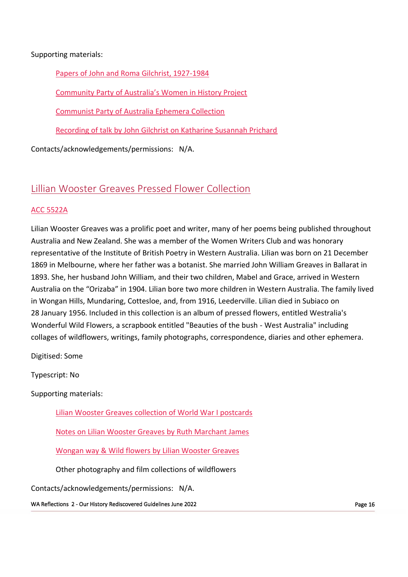### Supporting materials:

[Papers of John and Roma Gilchrist, 1927](https://encore.slwa.wa.gov.au/iii/encore/record/C__Rb1736756)-1984

[Community Party of Australia's Women in History Project](https://encore.slwa.wa.gov.au/iii/encore/search/C__SCPA%20of%20W.A.%20women%27s%20history%20project__Orightresult?lang=eng&suite=def)

[Communist Party of Australia Ephemera Collection](https://encore.slwa.wa.gov.au/iii/encore/record/C__Rb1837599)

[Recording of talk by John Gilchrist on Katharine Susannah Prichard](https://encore.slwa.wa.gov.au/iii/encore/record/C__Rb1811361)

Contacts/acknowledgements/permissions: N/A.

### Lillian Wooster Greaves Pressed Flower Collection

#### [ACC 5522A](https://encore.slwa.wa.gov.au/iii/encore/record/C__Rb2034951)

Lilian Wooster Greaves was a prolific poet and writer, many of her poems being published throughout Australia and New Zealand. She was a member of the Women Writers Club and was honorary representative of the Institute of British Poetry in Western Australia. Lilian was born on 21 December 1869 in Melbourne, where her father was a botanist. She married John William Greaves in Ballarat in 1893. She, her husband John William, and their two children, Mabel and Grace, arrived in Western Australia on the "Orizaba" in 1904. Lilian bore two more children in Western Australia. The family lived in Wongan Hills, Mundaring, Cottesloe, and, from 1916, Leederville. Lilian died in Subiaco on 28 January 1956. Included in this collection is an album of pressed flowers, entitled Westralia's Wonderful Wild Flowers, a scrapbook entitled "Beauties of the bush - West Australia" including collages of wildflowers, writings, family photographs, correspondence, diaries and other ephemera.

Digitised: Some

Typescript: No

Supporting materials:

[Lilian Wooster Greaves collection of World War I postcards](https://encore.slwa.wa.gov.au/iii/encore/record/C__Rb4173062)

[Notes on Lilian Wooster Greaves by Ruth Marchant James](https://encore.slwa.wa.gov.au/iii/encore/record/C__Rb2211516)

[Wongan way & Wild flowers by Lilian Wooster Greaves](https://encore.slwa.wa.gov.au/iii/encore/record/C__Rb1001390)

Other photography and film collections of wildflowers

Contacts/acknowledgements/permissions: N/A.

WA Reflections 2 - Our History Rediscovered Guidelines June 2022 **Page 16** Page 16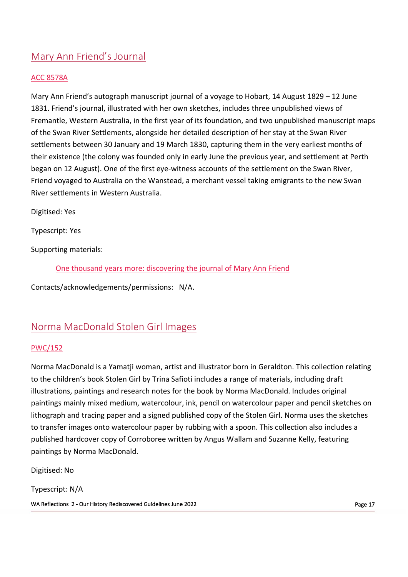# Mary Ann Friend's Journal

### ACC [8578A](https://encore.slwa.wa.gov.au/iii/encore/record/C__Rb3511109)

Mary Ann Friend's autograph manuscript journal of a voyage to Hobart, 14 August 1829 – 12 June 1831. Friend's journal, illustrated with her own sketches, includes three unpublished views of Fremantle, Western Australia, in the first year of its foundation, and two unpublished manuscript maps of the Swan River Settlements, alongside her detailed description of her stay at the Swan River settlements between 30 January and 19 March 1830, capturing them in the very earliest months of their existence (the colony was founded only in early June the previous year, and settlement at Perth began on 12 August). One of the first eye-witness accounts of the settlement on the Swan River, Friend voyaged to Australia on the Wanstead, a merchant vessel taking emigrants to the new Swan River settlements in Western Australia.

Digitised: Yes

Typescript: Yes

Supporting materials:

One thousand years more: [discovering](https://encore.slwa.wa.gov.au/iii/encore/record/C__Rb3702420) the journal of Mary Ann Friend

Contacts/acknowledgements/permissions: N/A.

### Norma MacDonald Stolen Girl Images

### [PWC/152](https://encore.slwa.wa.gov.au/iii/encore/record/C__Rb3067729)

Norma MacDonald is a Yamatji woman, artist and illustrator born in Geraldton. This collection relating to the children's book Stolen Girl by Trina Safioti includes a range of materials, including draft illustrations, paintings and research notes for the book by Norma MacDonald. Includes original paintings mainly mixed medium, watercolour, ink, pencil on watercolour paper and pencil sketches on lithograph and tracing paper and a signed published copy of the Stolen Girl. Norma uses the sketches to transfer images onto watercolour paper by rubbing with a spoon. This collection also includes a published hardcover copy of Corroboree written by Angus Wallam and Suzanne Kelly, featuring paintings by Norma MacDonald.

Digitised: No

WA Reflections 2 - Our History Rediscovered Guidelines June 2022 **Page 17** Australian Manuel 2011 12: Page 17 Typescript: N/A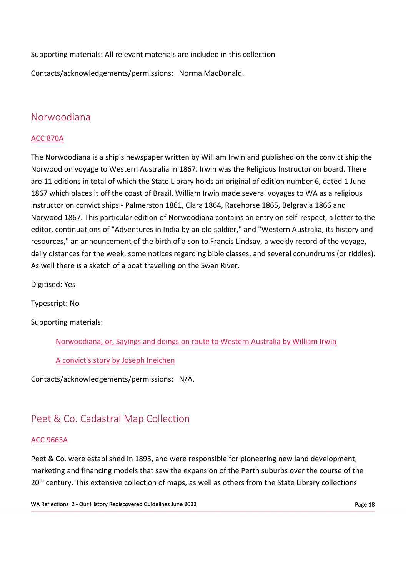Supporting materials: All relevant materials are included in this collection

Contacts/acknowledgements/permissions: Norma MacDonald.

### Norwoodiana

### [ACC 870A](https://encore.slwa.wa.gov.au/iii/encore/record/C__Rb1959847)

The Norwoodiana is a ship's newspaper written by William Irwin and published on the convict ship the Norwood on voyage to Western Australia in 1867. Irwin was the Religious Instructor on board. There are 11 editions in total of which the State Library holds an original of edition number 6, dated 1 June 1867 which places it off the coast of Brazil. William Irwin made several voyages to WA as a religious instructor on convict ships - Palmerston 1861, Clara 1864, Racehorse 1865, Belgravia 1866 and Norwood 1867. This particular edition of Norwoodiana contains an entry on self-respect, a letter to the editor, continuations of "Adventures in India by an old soldier," and "Western Australia, its history and resources," an announcement of the birth of a son to Francis Lindsay, a weekly record of the voyage, daily distances for the week, some notices regarding bible classes, and several conundrums (or riddles). As well there is a sketch of a boat travelling on the Swan River.

Digitised: Yes

Typescript: No

Supporting materials:

[Norwoodiana, or, Sayings and doings on route to Western Australia by William Irwin](https://encore.slwa.wa.gov.au/iii/encore/record/C__Rb1715398)

[A convict's story by Joseph Ineichen](https://encore.slwa.wa.gov.au/iii/encore/record/C__Rb1867007)

Contacts/acknowledgements/permissions: N/A.

# Peet & Co. Cadastral Map Collection

### [ACC 9663A](https://encore.slwa.wa.gov.au/iii/encore/search/C__SACC%209663A__Orightresult__U?lang=eng&suite=def)

Peet & Co. were established in 1895, and were responsible for pioneering new land development, marketing and financing models that saw the expansion of the Perth suburbs over the course of the 20<sup>th</sup> century. This extensive collection of maps, as well as others from the State Library collections

WA Reflections 2 - Our History Rediscovered Guidelines June 2022 **Page 18** Page 18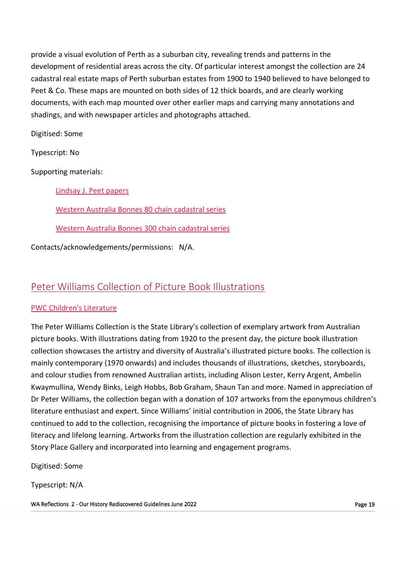provide a visual evolution of Perth as a suburban city, revealing trends and patterns in the development of residential areas across the city. Of particular interest amongst the collection are 24 cadastral real estate maps of Perth suburban estates from 1900 to 1940 believed to have belonged to Peet & Co. These maps are mounted on both sides of 12 thick boards, and are clearly working documents, with each map mounted over other earlier maps and carrying many annotations and shadings, and with newspaper articles and photographs attached.

Digitised: Some

Typescript: No

Supporting materials:

[Lindsay J. Peet papers](https://slwa.wa.gov.au/pdf/mn/mn2001_2500/mn2452.pdf)

[Western Australia Bonnes 80 chain cadastral series](https://encore.slwa.wa.gov.au/iii/encore/record/C__Rb2085388)

[Western Australia Bonnes 300 chain cadastral series](https://encore.slwa.wa.gov.au/iii/encore/record/C__Rb2085525)

Contacts/acknowledgements/permissions: N/A.

### Peter Williams Collection of Picture Book Illustrations

### [PWC Children's Literature](https://encore.slwa.wa.gov.au/iii/encore/record/C__Rb2405367)

The Peter Williams Collection is the State Library's collection of exemplary artwork from Australian picture books. With illustrations dating from 1920 to the present day, the picture book illustration collection showcases the artistry and diversity of Australia's illustrated picture books. The collection is mainly contemporary (1970 onwards) and includes thousands of illustrations, sketches, storyboards, and colour studies from renowned Australian artists, including Alison Lester, Kerry Argent, Ambelin Kwaymullina, Wendy Binks, Leigh Hobbs, Bob Graham, Shaun Tan and more. Named in appreciation of Dr Peter Williams, the collection began with a donation of 107 artworks from the eponymous children's literature enthusiast and expert. Since Williams' initial contribution in 2006, the State Library has continued to add to the collection, recognising the importance of picture books in fostering a love of literacy and lifelong learning. Artworks from the illustration collection are regularly exhibited in the Story Place Gallery and incorporated into learning and engagement programs.

Digitised: Some

Typescript: N/A

WA Reflections 2 - Our History Rediscovered Guidelines June 2022 **Page 19** Page 19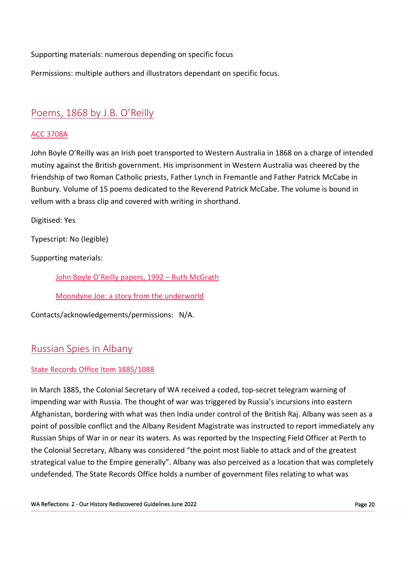Supporting materials: numerous depending on specific focus

Permissions: multiple authors and illustrators dependant on specific focus.

# Poems, 1868 by J.B. O'Reilly

### ACC [3708A](https://encore.slwa.wa.gov.au/iii/encore/record/C__Rb1746022)

John Boyle O'Reilly was an Irish poet transported to Western Australia in 1868 on a charge of intended mutiny against the British government. His imprisonment in Western Australia was cheered by the friendship of two Roman Catholic priests, Father Lynch in Fremantle and Father Patrick McCabe in Bunbury. Volume of 15 poems dedicated to the Reverend Patrick McCabe. The volume is bound in vellum with a brass clip and covered with writing in shorthand.

Digitised: Yes

Typescript: No (legible)

Supporting materials:

[John Boyle O'Reilly papers, 1992](https://encore.slwa.wa.gov.au/iii/encore/record/C__Rb1752812) – Ruth McGrath

[Moondyne Joe: a story from the underworld](https://encore.slwa.wa.gov.au/iii/encore/record/C__Rb1236198)

Contacts/acknowledgements/permissions: N/A.

## Russian Spies in Albany

### [State Records Office Item 1885/1088](https://archive.sro.wa.gov.au/index.php/his-excellency-the-administrator-russian-ships-of-war-code-telegram-from-admiral-tryon-regarding-1885-1088)

In March 1885, the Colonial Secretary of WA received a coded, top-secret telegram warning of impending war with Russia. The thought of war was triggered by Russia's incursions into eastern Afghanistan, bordering with what was then India under control of the British Raj. Albany was seen as a point of possible conflict and the Albany Resident Magistrate was instructed to report immediately any Russian Ships of War in or near its waters. As was reported by the Inspecting Field Officer at Perth to the Colonial Secretary, Albany was considered "the point most liable to attack and of the greatest strategical value to the Empire generally". Albany was also perceived as a location that was completely undefended. The State Records Office holds a number of government files relating to what was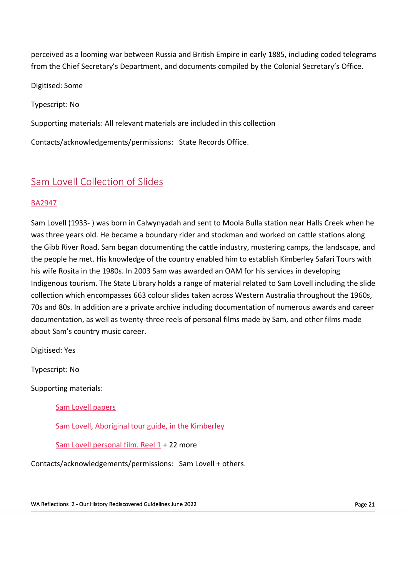perceived as a looming war between Russia and British Empire in early 1885, including coded telegrams from the Chief Secretary's Department, and documents compiled by the Colonial Secretary's Office.

Digitised: Some

Typescript: No

Supporting materials: All relevant materials are included in this collection

Contacts/acknowledgements/permissions: State Records Office.

## Sam Lovell Collection of Slides

#### [BA2947](https://encore.slwa.wa.gov.au/iii/encore/record/C__Rb5576787)

Sam Lovell (1933- ) was born in Calwynyadah and sent to Moola Bulla station near Halls Creek when he was three years old. He became a boundary rider and stockman and worked on cattle stations along the Gibb River Road. Sam began documenting the cattle industry, mustering camps, the landscape, and the people he met. His knowledge of the country enabled him to establish Kimberley Safari Tours with his wife Rosita in the 1980s. In 2003 Sam was awarded an OAM for his services in developing Indigenous tourism. The State Library holds a range of material related to Sam Lovell including the slide collection which encompasses 663 colour slides taken across Western Australia throughout the 1960s, 70s and 80s. In addition are a private archive including documentation of numerous awards and career documentation, as well as twenty-three reels of personal films made by Sam, and other films made about Sam's country music career.

Digitised: Yes

Typescript: No

Supporting materials:

[Sam Lovell papers](https://encore.slwa.wa.gov.au/iii/encore/record/C__Rb6620146)

[Sam Lovell, Aboriginal tour guide, in the Kimberley](http://purl.slwa.wa.gov.au/slwa_b2464143_1)

[Sam Lovell personal film. Reel 1](https://encore.slwa.wa.gov.au/iii/encore/record/C__Rb6620112) + 22 more

Contacts/acknowledgements/permissions: Sam Lovell + others.

WA Reflections 2 - Our History Rediscovered Guidelines June 2022 **Page 21** Page 21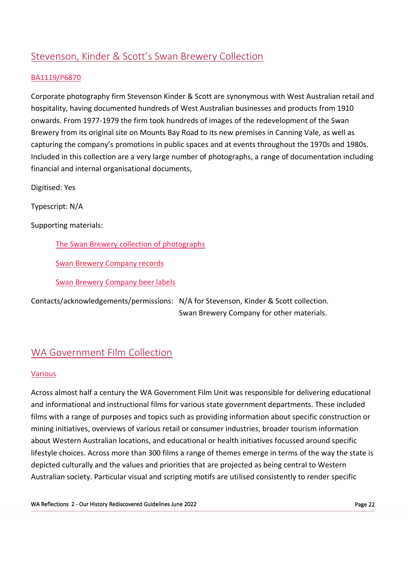# Stevenson, Kinder & Scott's Swan Brewery Collection

### [BA1119/P6870](https://encore.slwa.wa.gov.au/iii/encore/record/C__Rb1855790)

Corporate photography firm Stevenson Kinder & Scott are synonymous with West Australian retail and hospitality, having documented hundreds of West Australian businesses and products from 1910 onwards. From 1977-1979 the firm took hundreds of images of the redevelopment of the Swan Brewery from its original site on Mounts Bay Road to its new premises in Canning Vale, as well as capturing the company's promotions in public spaces and at events throughout the 1970s and 1980s. Included in this collection are a very large number of photographs, a range of documentation including financial and internal organisational documents,

Digitised: Yes

Typescript: N/A

Supporting materials:

The Swan Brewery collection of [photographs](https://www.slwa.wa.gov.au/pdf/pictorial/BA342.pdf)

Swan Brewery [Company](https://encore.slwa.wa.gov.au/iii/encore/record/C__Rb1731967) records

Swan Brewery [Company](https://encore.slwa.wa.gov.au/iii/encore/record/C__Rb2122045) beer labels

Contacts/acknowledgements/permissions: N/A for Stevenson, Kinder & Scott collection. Swan Brewery Company for other materials.

### WA Government Film Collection

#### [Various](https://encore.slwa.wa.gov.au/iii/encore/search/C__SWA%20Government%20film%20collection__Orightresult__U?lang=eng&suite=def)

Across almost half a century the WA Government Film Unit was responsible for delivering educational and informational and instructional films for various state government departments. These included films with a range of purposes and topics such as providing information about specific construction or mining initiatives, overviews of various retail or consumer industries, broader tourism information about Western Australian locations, and educational or health initiatives focussed around specific lifestyle choices. Across more than 300 films a range of themes emerge in terms of the way the state is depicted culturally and the values and priorities that are projected as being central to Western Australian society. Particular visual and scripting motifs are utilised consistently to render specific

WA Reflections 2 - Our History Rediscovered Guidelines June 2022 Page 22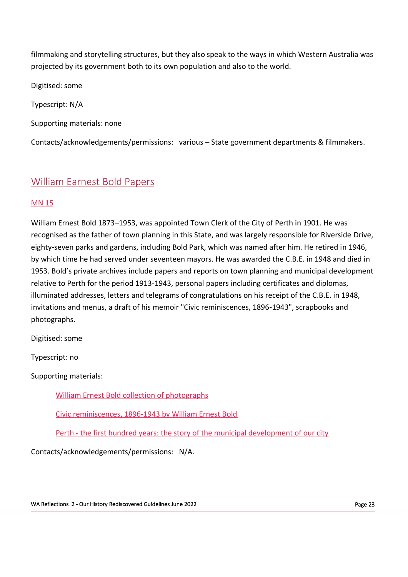filmmaking and storytelling structures, but they also speak to the ways in which Western Australia was projected by its government both to its own population and also to the world.

Digitised: some

Typescript: N/A

Supporting materials: none

Contacts/acknowledgements/permissions: various – State government departments & filmmakers.

## William Earnest Bold Papers

### [MN 15](https://slwa.wa.gov.au/pdf/mn/mn1_500/mn0015.pdf)

William Ernest Bold 1873–1953, was appointed Town Clerk of the City of Perth in 1901. He was recognised as the father of town planning in this State, and was largely responsible for Riverside Drive, eighty-seven parks and gardens, including Bold Park, which was named after him. He retired in 1946, by which time he had served under seventeen mayors. He was awarded the C.B.E. in 1948 and died in 1953. Bold's private archives include papers and reports on town planning and municipal development relative to Perth for the period 1913-1943, personal papers including certificates and diplomas, illuminated addresses, letters and telegrams of congratulations on his receipt of the C.B.E. in 1948, invitations and menus, a draft of his memoir "Civic reminiscences, 1896-1943", scrapbooks and photographs.

Digitised: some

Typescript: no

Supporting materials:

[William Ernest Bold collection of photographs](https://encore.slwa.wa.gov.au/iii/encore/record/C__Rb2166577)

[Civic reminiscences, 1896-1943 by William Ernest Bold](https://encore.slwa.wa.gov.au/iii/encore/record/C__Rb1345610)

Perth - [the first hundred years: the story of the municipal development of our city](https://encore.slwa.wa.gov.au/iii/encore/record/C__Rb1121247)

Contacts/acknowledgements/permissions: N/A.